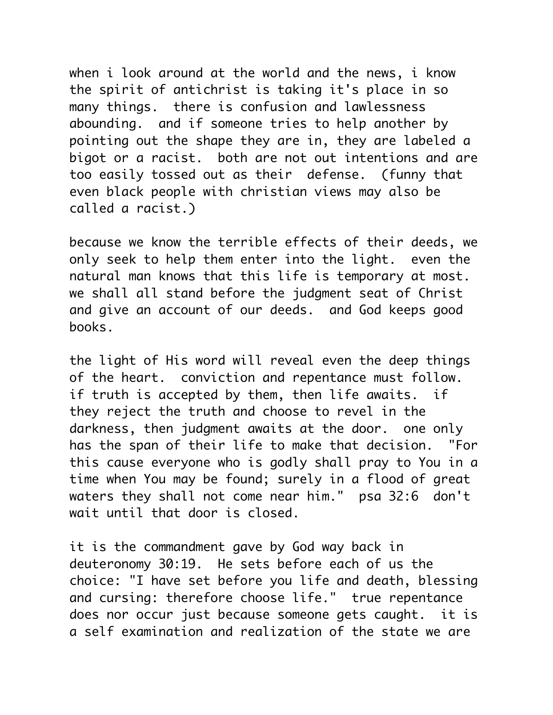when i look around at the world and the news, i know the spirit of antichrist is taking it's place in so many things. there is confusion and lawlessness abounding. and if someone tries to help another by pointing out the shape they are in, they are labeled a bigot or a racist. both are not out intentions and are too easily tossed out as their defense. (funny that even black people with christian views may also be called a racist.)

because we know the terrible effects of their deeds, we only seek to help them enter into the light. even the natural man knows that this life is temporary at most. we shall all stand before the judgment seat of Christ and give an account of our deeds. and God keeps good books.

the light of His word will reveal even the deep things of the heart. conviction and repentance must follow. if truth is accepted by them, then life awaits. if they reject the truth and choose to revel in the darkness, then judgment awaits at the door. one only has the span of their life to make that decision. "For this cause everyone who is godly shall pray to You in a time when You may be found; surely in a flood of great waters they shall not come near him." psa 32:6 don't wait until that door is closed.

it is the commandment gave by God way back in deuteronomy 30:19. He sets before each of us the choice: "I have set before you life and death, blessing and cursing: therefore choose life." true repentance does nor occur just because someone gets caught. it is a self examination and realization of the state we are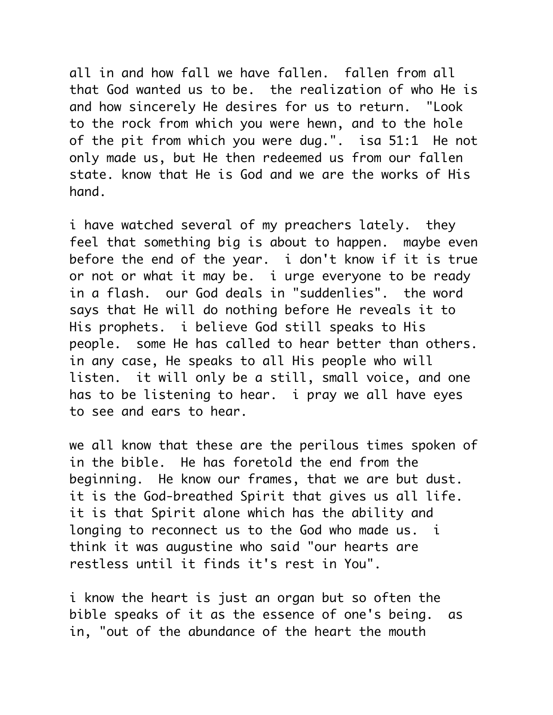all in and how fall we have fallen. fallen from all that God wanted us to be. the realization of who He is and how sincerely He desires for us to return. "Look to the rock from which you were hewn, and to the hole of the pit from which you were dug.". isa 51:1 He not only made us, but He then redeemed us from our fallen state. know that He is God and we are the works of His hand.

i have watched several of my preachers lately. they feel that something big is about to happen. maybe even before the end of the year. i don't know if it is true or not or what it may be. i urge everyone to be ready in a flash. our God deals in "suddenlies". the word says that He will do nothing before He reveals it to His prophets. i believe God still speaks to His people. some He has called to hear better than others. in any case, He speaks to all His people who will listen. it will only be a still, small voice, and one has to be listening to hear. i pray we all have eyes to see and ears to hear.

we all know that these are the perilous times spoken of in the bible. He has foretold the end from the beginning. He know our frames, that we are but dust. it is the God-breathed Spirit that gives us all life. it is that Spirit alone which has the ability and longing to reconnect us to the God who made us. i think it was augustine who said "our hearts are restless until it finds it's rest in You".

i know the heart is just an organ but so often the bible speaks of it as the essence of one's being. as in, "out of the abundance of the heart the mouth